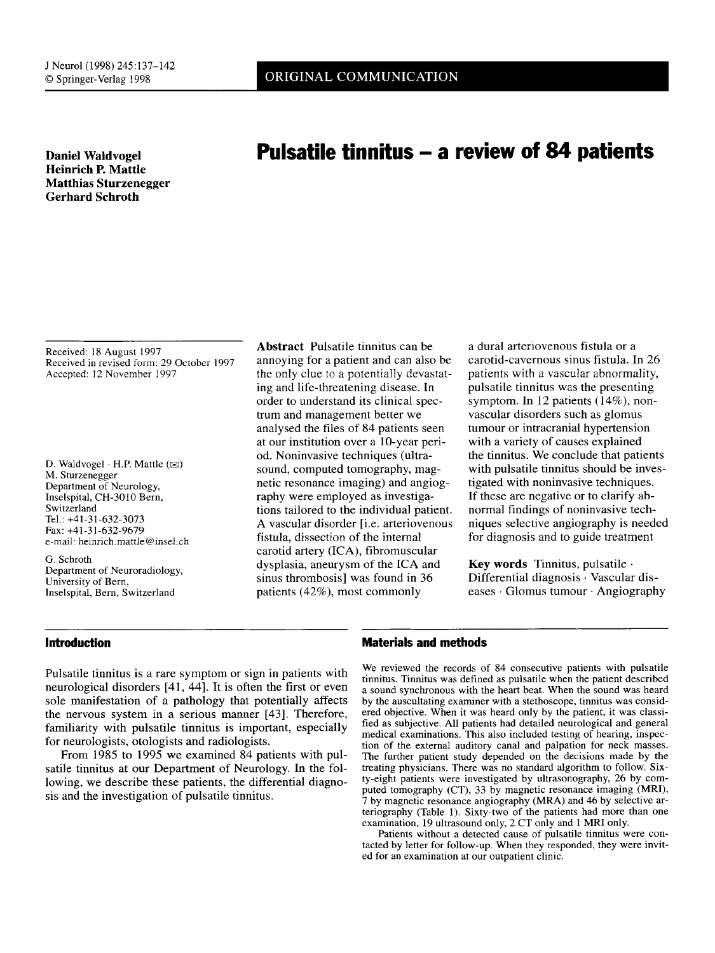# **Heinrich P. Mattle Matthias Sturzenegger Gerhard Schroth**

# **Daniel Waldvogel Pulsatile tinnitus — a review of 84 patients**

Received: 18 August 1997 Received in revised form: 29 October 1997 Accepted: 12 November 1997

D. Waldvogel · H.P. Mattle ( $\otimes$ ) M. Sturzenegger Department of Neurology, Inselspital, CH-3010 Bern, Switzerland Tel.: +41-31-632-3073 Fax: +41-31-632-9679 e-mail: heinrich.mattle@insel.ch

G. Schroth Department of Neuroradiology, University of Bern, Inselspital, Bern, Switzerland

**Abstract** Pulsatile tinnitus can be annoying for a patient and can also be the only clue to a potentially devastating and life-threatening disease. In order to understand its clinical spectrum and management better we analysed the files of 84 patients seen at our institution over a 10-year period. Noninvasive techniques (ultrasound, computed tomography, magnetic resonance imaging) and angiography were employed as investigations tailored to the individual patient. A vascular disorder [i.e. arteriovenous fistula, dissection of the internal carotid artery (ICA), fibromuscular dysplasia, aneurysm of the ICA and sinus thrombosis] was found in 36 patients (42%), most commonly

a dural arteriovenous fistula or a carotid-cavernous sinus fistula. In 26 patients with a vascular abnormality, pulsatile tinnitus was the presenting symptom. In 12 patients (14%), nonvascular disorders such as glomus tumour or intracranial hypertension with a variety of causes explained the tinnitus. We conclude that patients with pulsatile tinnitus should be investigated with noninvasive techniques. If these are negative or to clarify abnormal findings of noninvasive techniques selective angiography is needed for diagnosis and to guide treatment

**Key words** Tinnitus, pulsatile Differential diagnosis • Vascular diseases • Glomus tumour • Angiography

## **Introduction**

Pulsatile tinnitus is a rare symptom or sign in patients with neurological disorders [41, 441. It is often the first or even sole manifestation of a pathology that potentially affects the nervous system in a serious manner [43]. Therefore, familiarity with pulsatile tinnitus is important, especially for neurologists, otologists and radiologists.

From 1985 to 1995 we examined 84 patients with pulsatile tinnitus at our Department of Neurology. In the following, we describe these patients, the differential diagnosis and the investigation of pulsatile tinnitus.

## **Materials and methods**

We reviewed the records of 84 consecutive patients with pulsatile tinnitus. Tinnitus was defined as pulsatile when the patient described a sound synchronous with the heart beat. When the sound was heard by the auscultating examiner with a stethoscope, tinnitus was considered objective. When it was heard only by the patient, it was classified as subjective. All patients had detailed neurological and general medical examinations. This also included testing of hearing, inspection of the external auditory canal and palpation for neck masses. The further patient study depended on the decisions made by the treating physicians. There was no standard algorithm to follow. Sixty-eight patients were investigated by ultrasonography, 26 by computed tomography (CT), 33 by magnetic resonance imaging (MRI), 7 by magnetic resonance angiography (MRA) and 46 by selective arteriography (Table 1). Sixty-two of the patients had more than one examination, 19 ultrasound only, 2 CT only and I MRI only.

Patients without a detected cause of pulsatile tinnitus were contacted by letter for follow-up. When they responded, they were invited for an examination at our outpatient clinic.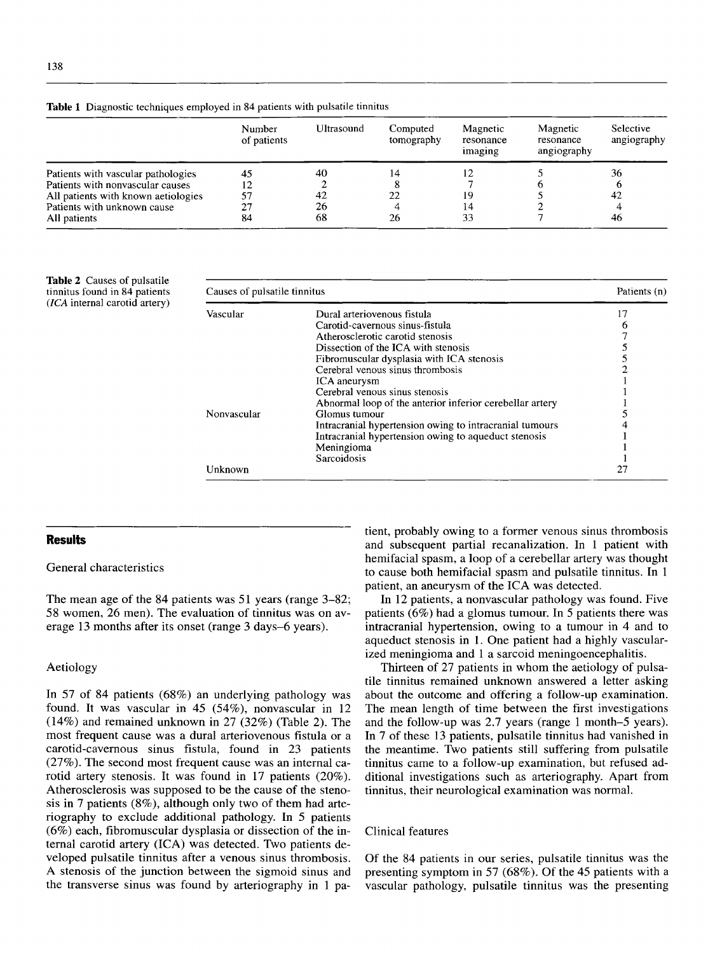**Table 1** Diagnostic techniques employed in 84 patients with pulsatile tinnitus

|                                     | Number<br>of patients | Ultrasound | Computed<br>tomography | Magnetic<br>resonance<br>imaging | Magnetic<br>resonance<br>angiography | Selective<br>angiography |
|-------------------------------------|-----------------------|------------|------------------------|----------------------------------|--------------------------------------|--------------------------|
| Patients with vascular pathologies  | 45                    | 40         | 14                     | 12                               |                                      | 36                       |
| Patients with nonvascular causes    | 12                    |            |                        |                                  |                                      |                          |
| All patients with known aetiologies | 57                    | 42         | 22                     | 19                               |                                      | 42                       |
| Patients with unknown cause         | 27                    | 26         |                        | 14                               |                                      |                          |
| All patients                        | 84                    | 68         | 26                     | 33                               |                                      | 46                       |

**Table** 2 Causes of pulsatile tinnitus found in 84 patients *(ICA* internal carotid artery)

| Causes of pulsatile tinnitus |                                                          | Patients (n) |
|------------------------------|----------------------------------------------------------|--------------|
| Vascular                     | Dural arteriovenous fistula                              | 17           |
|                              | Carotid-cavernous sinus-fistula                          |              |
|                              | Atherosclerotic carotid stenosis                         |              |
|                              | Dissection of the ICA with stenosis                      |              |
|                              | Fibromuscular dysplasia with ICA stenosis                |              |
|                              | Cerebral venous sinus thrombosis                         |              |
|                              | ICA aneurysm                                             |              |
|                              | Cerebral venous sinus stenosis                           |              |
|                              | Abnormal loop of the anterior inferior cerebellar artery |              |
| Nonvascular                  | Glomus tumour                                            |              |
|                              | Intracranial hypertension owing to intracranial tumours  |              |
|                              | Intracranial hypertension owing to aqueduct stenosis     |              |
|                              | Meningioma                                               |              |
|                              | Sarcoidosis                                              |              |
| Unknown                      |                                                          | 27           |

#### **Results**

General characteristics

The mean age of the 84 patients was 51 years (range 3-82; 58 women, 26 men). The evaluation of tinnitus was on average 13 months after its onset (range 3 days-6 years).

#### Aetiology

In 57 of 84 patients (68%) an underlying pathology was found. It was vascular in 45 (54%), nonvascular in 12 (14%) and remained unknown in 27 (32%) (Table 2). The most frequent cause was a dural arteriovenous fistula or a carotid-cavernous sinus fistula, found in 23 patients (27%). The second most frequent cause was an internal carotid artery stenosis. It was found in 17 patients (20%). Atherosclerosis was supposed to be the cause of the stenosis in 7 patients (8%), although only two of them had arteriography to exclude additional pathology. In 5 patients (6%) each, fibromuscular dysplasia or dissection of the internal carotid artery (ICA) was detected. Two patients developed pulsatile tinnitus after a venous sinus thrombosis. A stenosis of the junction between the sigmoid sinus and the transverse sinus was found by arteriography in 1 pa-

tient, probably owing to a former venous sinus thrombosis and subsequent partial recanalization. In 1 patient with hemifacial spasm, a loop of a cerebellar artery was thought to cause both hemifacial spasm and pulsatile tinnitus. In 1 patient, an aneurysm of the ICA was detected.

In 12 patients, a nonvascular pathology was found. Five patients (6%) had a glomus tumour. In 5 patients there was intracranial hypertension, owing to a tumour in 4 and to aqueduct stenosis in 1. One patient had a highly vascularized meningioma and 1 a sarcoid meningoencephalitis.

Thirteen of 27 patients in whom the aetiology of pulsatile tinnitus remained unknown answered a letter asking about the outcome and offering a follow-up examination. The mean length of time between the first investigations and the follow-up was 2.7 years (range 1 month-5 years). In 7 of these 13 patients, pulsatile tinnitus had vanished in the meantime. Two patients still suffering from pulsatile tinnitus came to a follow-up examination, but refused additional investigations such as arteriography. Apart from tinnitus, their neurological examination was normal.

#### Clinical features

Of the 84 patients in our series, pulsatile tinnitus was the presenting symptom in 57 (68%). Of the 45 patients with a vascular pathology, pulsatile tinnitus was the presenting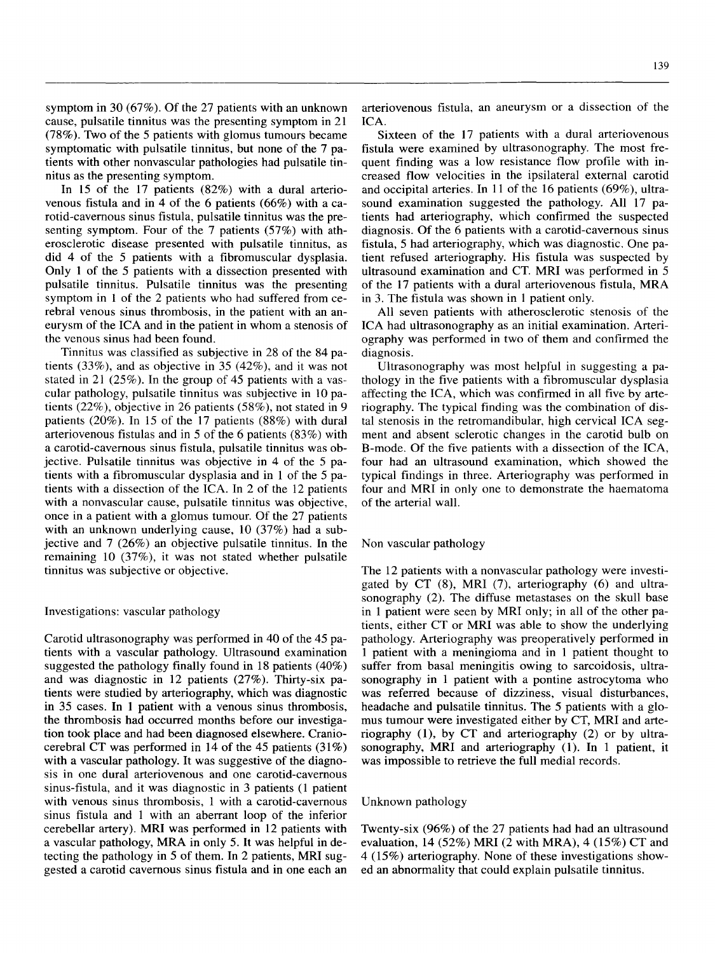symptom in 30 (67%). Of the 27 patients with an unknown cause, pulsatile tinnitus was the presenting symptom in 21 (78%). Two of the 5 patients with glomus tumours became symptomatic with pulsatile tinnitus, but none of the 7 patients with other nonvascular pathologies had pulsatile tinnitus as the presenting symptom.

In 15 of the 17 patients (82%) with a dural arteriovenous fistula and in 4 of the 6 patients (66%) with a carotid-cavernous sinus fistula, pulsatile tinnitus was the presenting symptom. Four of the 7 patients (57%) with atherosclerotic disease presented with pulsatile tinnitus, as did 4 of the 5 patients with a fibromuscular dysplasia. Only I of the 5 patients with a dissection presented with pulsatile tinnitus. Pulsatile tinnitus was the presenting symptom in 1 of the 2 patients who had suffered from cerebral venous sinus thrombosis, in the patient with an aneurysm of the ICA and in the patient in whom a stenosis of the venous sinus had been found.

Tinnitus was classified as subjective in 28 of the 84 patients (33%), and as objective in 35 (42%), and it was not stated in 21 (25%). In the group of 45 patients with a vascular pathology, pulsatile tinnitus was subjective in 10 patients (22%), objective in 26 patients (58%), not stated in 9 patients (20%). In 15 of the 17 patients (88%) with dural arteriovenous fistulas and in 5 of the 6 patients (83%) with a carotid-cavernous sinus fistula, pulsatile tinnitus was objective. Pulsatile tinnitus was objective in 4 of the 5 patients with a fibromuscular dysplasia and in 1 of the 5 patients with a dissection of the ICA. In 2 of the 12 patients with a nonvascular cause, pulsatile tinnitus was objective, once in a patient with a glomus tumour. Of the 27 patients with an unknown underlying cause, 10 (37%) had a subjective and 7 (26%) an objective pulsatile tinnitus. In the remaining 10 (37%), it was not stated whether pulsatile tinnitus was subjective or objective.

#### Investigations: vascular pathology

Carotid ultrasonography was performed in 40 of the 45 patients with a vascular pathology. Ultrasound examination suggested the pathology finally found in 18 patients (40%) and was diagnostic in 12 patients (27%). Thirty-six patients were studied by arteriography, which was diagnostic in 35 cases. In 1 patient with a venous sinus thrombosis, the thrombosis had occurred months before our investigation took place and had been diagnosed elsewhere. Craniocerebral CT was performed in 14 of the 45 patients (31%) with a vascular pathology. It was suggestive of the diagnosis in one dural arteriovenous and one carotid-cavernous sinus-fistula, and it was diagnostic in 3 patients (1 patient with venous sinus thrombosis, 1 with a carotid-cavernous sinus fistula and 1 with an aberrant loop of the inferior cerebellar artery). MRI was performed in 12 patients with a vascular pathology, MRA in only 5. It was helpful in detecting the pathology in 5 of them. In 2 patients, MRI suggested a carotid cavernous sinus fistula and in one each an arteriovenous fistula, an aneurysm or a dissection of the ICA.

Sixteen of the 17 patients with a dural arteriovenous fistula were examined by ultrasonography. The most frequent finding was a low resistance flow profile with increased flow velocities in the ipsilateral external carotid and occipital arteries. In 11 of the 16 patients (69%), ultrasound examination suggested the pathology. All 17 patients had arteriography, which confirmed the suspected diagnosis. Of the 6 patients with a carotid-cavernous sinus fistula, 5 had arteriography, which was diagnostic. One patient refused arteriography. His fistula was suspected by ultrasound examination and CT. **MRI** was performed in 5 of the 17 patients with a dural arteriovenous fistula, MRA in 3. The fistula was shown in I patient only.

All seven patients with atherosclerotic stenosis of the ICA had ultrasonography as an initial examination. Arteriography was performed in two of them and confirmed the diagnosis.

Ultrasonography was most helpful in suggesting a pathology in the five patients with a fibromuscular dysplasia affecting the ICA, which was confirmed in all five by arteriography. The typical finding was the combination of distal stenosis in the retromandibular, high cervical ICA segment and absent sclerotic changes in the carotid bulb on B-mode. Of the five patients with a dissection of the ICA, four had an ultrasound examination, which showed the typical findings in three. Arteriography was performed in four and MRI in only one to demonstrate the haematoma of the arterial wall.

#### Non vascular pathology

The 12 patients with a nonvascular pathology were investigated by CT (8), **MRI** (7), arteriography (6) and ultrasonography (2). The diffuse metastases on the skull base in 1 patient were seen by MRI only; in all of the other patients, either CT or MRI was able to show the underlying pathology. Arteriography was preoperatively performed in 1 patient with a meningioma and in 1 patient thought to suffer from basal meningitis owing to sarcoidosis, ultrasonography in 1 patient with a pontine astrocytoma who was referred because of dizziness, visual disturbances, headache and pulsatile tinnitus. The 5 patients with a glomus tumour were investigated either by CT, **MRI** and arteriography (1), by CT and arteriography (2) or by ultrasonography, MRI and arteriography (1). **In** 1 patient, it was impossible to retrieve the full medial records.

#### Unknown pathology

Twenty-six (96%) of the 27 patients had had an ultrasound evaluation, 14 (52%) MRI (2 with MRA), 4 (15%) CT and 4 (15%) arteriography. None of these investigations showed an abnormality that could explain pulsatile tinnitus.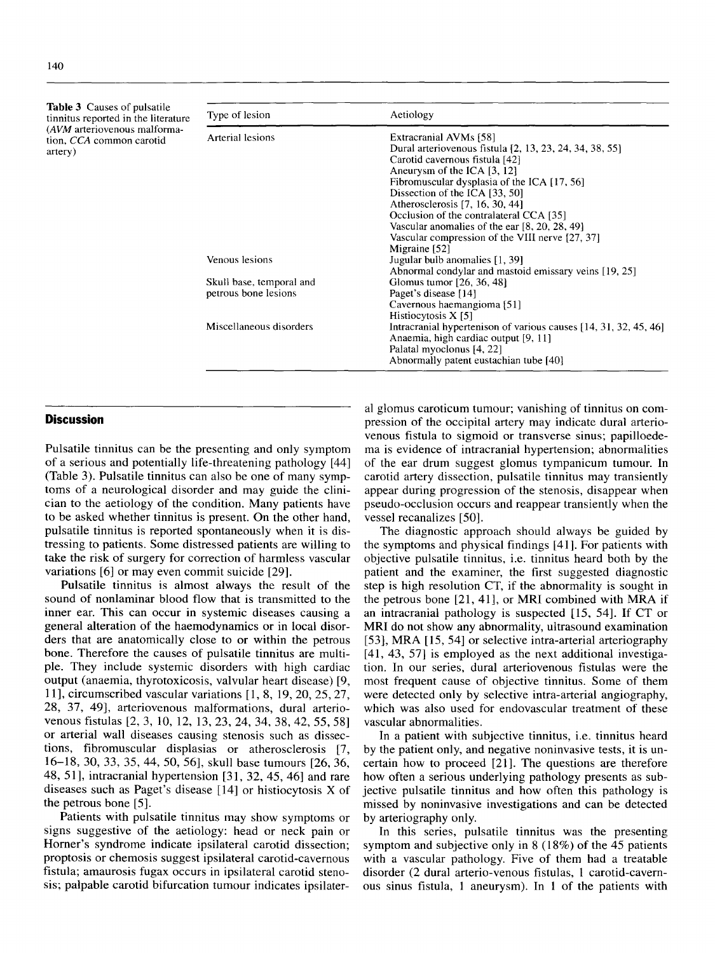| <b>Table 3</b> Causes of pulsatile  |                  |  |
|-------------------------------------|------------------|--|
| tinnitus reported in the literature | Type of lesion   |  |
| (AVM arteriovenous malforma-        |                  |  |
| tion, CCA common carotid            | Arterial lesions |  |
| artery)                             |                  |  |

| <b>Table 3</b> Causes of pulsatile<br>tinnitus reported in the literature<br>(AVM arteriovenous malforma-<br>tion, CCA common carotid<br>artery) | Type of lesion                                   | Aetiology                                                                                                                                                                                                                                                                                                                                                                                                                 |  |  |
|--------------------------------------------------------------------------------------------------------------------------------------------------|--------------------------------------------------|---------------------------------------------------------------------------------------------------------------------------------------------------------------------------------------------------------------------------------------------------------------------------------------------------------------------------------------------------------------------------------------------------------------------------|--|--|
|                                                                                                                                                  | Arterial lesions                                 | Extracranial AVMs [58]<br>Dural arteriovenous fistula [2, 13, 23, 24, 34, 38, 55]<br>Carotid cavernous fistula [42]<br>Aneurysm of the ICA [3, 12]<br>Fibromuscular dysplasia of the ICA $[17, 56]$<br>Dissection of the ICA [33, 50]<br>Atherosclerosis [7, 16, 30, 44]<br>Occlusion of the contralateral CCA [35]<br>Vascular anomalies of the ear $[8, 20, 28, 49]$<br>Vascular compression of the VIII nerve [27, 37] |  |  |
|                                                                                                                                                  | Venous lesions                                   | Migraine [52]<br>Jugular bulb anomalies [1, 39]                                                                                                                                                                                                                                                                                                                                                                           |  |  |
|                                                                                                                                                  | Skull base, temporal and<br>petrous bone lesions | Abnormal condylar and mastoid emissary veins [19, 25]<br>Glomus tumor [26, 36, 48]<br>Paget's disease [14]<br>Cavernous haemangioma [51]<br>Histiocytosis $X$ [5]                                                                                                                                                                                                                                                         |  |  |
|                                                                                                                                                  | Miscellaneous disorders                          | Intracranial hypertenison of various causes [14, 31, 32, 45, 46]<br>Anaemia, high cardiac output [9, 11]<br>Palatal myoclonus [4, 22]<br>Abnormally patent eustachian tube [40]                                                                                                                                                                                                                                           |  |  |

#### **Discussion**

Pulsatile tinnitus can be the presenting and only symptom of a serious and potentially life-threatening pathology [44] (Table 3). Pulsatile tinnitus can also be one of many symptoms of a neurological disorder and may guide the clinician to the aetiology of the condition. Many patients have to be asked whether tinnitus is present. On the other hand, pulsatile tinnitus is reported spontaneously when it is distressing to patients. Some distressed patients are willing to take the risk of surgery for correction of harmless vascular variations [6] or may even commit suicide [29].

Pulsatile tinnitus is almost always the result of the sound of nonlaminar blood flow that is transmitted to the inner ear. This can occur in systemic diseases causing a general alteration of the haemodynamics or in local disorders that are anatomically close to or within the petrous bone. Therefore the causes of pulsatile tinnitus are multiple. They include systemic disorders with high cardiac output (anaemia, thyrotoxicosis, valvular heart disease) [9, 111, circumscribed vascular variations [ 1, 8, 19, 20, 25, 27, 28, 37, 49], arteriovenous malformations, dural arteriovenous fistulas [2, 3, 10, 12, 13, 23, 24, 34, 38, 42, 55, 58] or arterial wall diseases causing stenosis such as dissections, fibromuscular displasias or atherosclerosis [7, 16-18, 30, 33, 35, 44, 50, 56], skull base tumours [26, 36, 48, 511, intracranial hypertension [31, 32, 45, 46] and rare diseases such as Paget's disease [14] or histiocytosis X of the petrous bone [5].

Patients with pulsatile tinnitus may show symptoms or signs suggestive of the aetiology: head or neck pain or Homer's syndrome indicate ipsilateral carotid dissection; proptosis or chemosis suggest ipsilateral carotid-cavernous fistula; amaurosis fugax occurs in ipsilateral carotid stenosis; palpable carotid bifurcation tumour indicates ipsilater-

al glomus caroticum tumour; vanishing of tinnitus on compression of the occipital artery may indicate dural arteriovenous fistula to sigmoid or transverse sinus; papilloedema is evidence of intracranial hypertension; abnormalities of the ear drum suggest glomus tympanicum tumour. In carotid artery dissection, pulsatile tinnitus may transiently appear during progression of the stenosis, disappear when pseudo-occlusion occurs and reappear transiently when the vessel recanalizes [50].

The diagnostic approach should always be guided by the symptoms and physical findings [411. For patients with objective pulsatile tinnitus, i.e. tinnitus heard both by the patient and the examiner, the first suggested diagnostic step is high resolution CT, if the abnormality is sought in the petrous bone [21, 41], or MRI combined with MRA if an intracranial pathology is suspected [15, 54]. If CT or MRI do not show any abnormality, ultrasound examination [53], MRA [15, 54] or selective intra-arterial arteriography [41, 43, 57] is employed as the next additional investigation. In our series, dural arteriovenous fistulas were the most frequent cause of objective tinnitus. Some of them were detected only by selective intra-arterial angiography, which was also used for endovascular treatment of these vascular abnormalities.

In a patient with subjective tinnitus, i.e. tinnitus heard by the patient only, and negative noninvasive tests, it is uncertain how to proceed [21]. The questions are therefore how often a serious underlying pathology presents as subjective pulsatile tinnitus and how often this pathology is missed by noninvasive investigations and can be detected by arteriography only.

In this series, pulsatile tinnitus was the presenting symptom and subjective only in 8 (18%) of the 45 patients with a vascular pathology. Five of them had a treatable disorder (2 dural arterio-venous fistulas, 1 carotid-cavernous sinus fistula, 1 aneurysm). In 1 of the patients with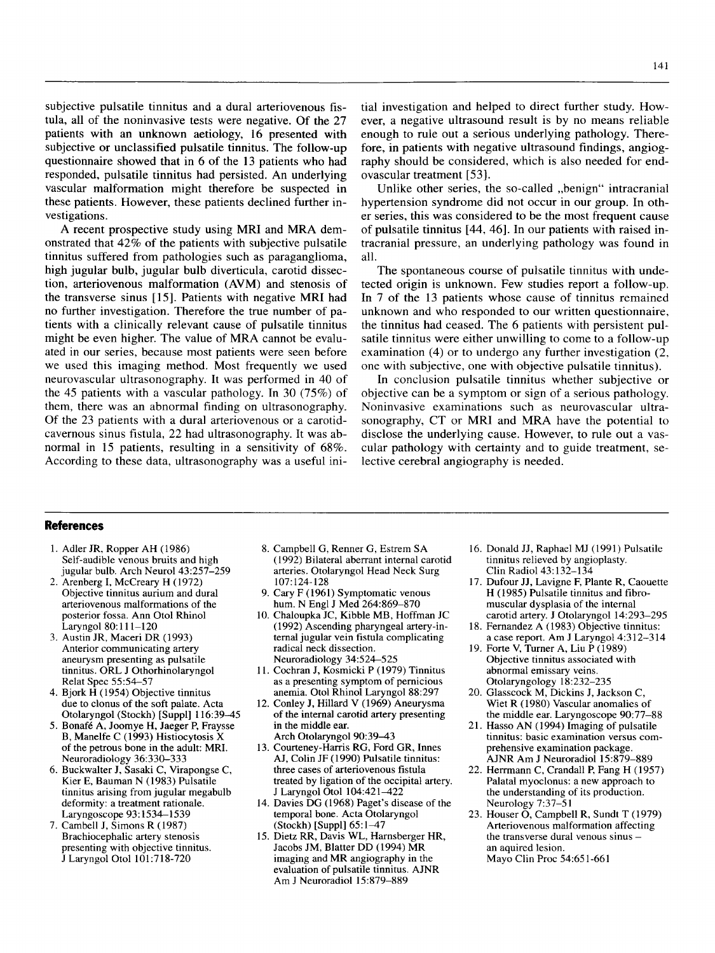subjective pulsatile tinnitus and a dural arteriovenous fistula, all of the noninvasive tests were negative. Of the 27 patients with an unknown aetiology, 16 presented with subjective or unclassified pulsatile tinnitus. The follow-up questionnaire showed that in 6 of the 13 patients who had responded, pulsatile tinnitus had persisted. An underlying vascular malformation might therefore be suspected in these patients. However, these patients declined further investigations.

A recent prospective study using MRI and MRA demonstrated that 42% of the patients with subjective pulsatile tinnitus suffered from pathologies such as paraganglioma, high jugular bulb, jugular bulb diverticula, carotid dissection, arteriovenous malformation (AVM) and stenosis of the transverse sinus [15]. Patients with negative MRI had no further investigation. Therefore the true number of patients with a clinically relevant cause of pulsatile tinnitus might be even higher. The value of MRA cannot be evaluated in our series, because most patients were seen before we used this imaging method. Most frequently we used neurovascular ultrasonography. It was performed in 40 of the 45 patients with a vascular pathology. In 30 (75%) of them, there was an abnormal finding on ultrasonography. Of the 23 patients with a dural arteriovenous or a carotidcavernous sinus fistula, 22 had ultrasonography. It was abnormal in 15 patients, resulting in a sensitivity of 68%. According to these data, ultrasonography was a useful initial investigation and helped to direct further study. However, a negative ultrasound result is by no means reliable enough to rule out a serious underlying pathology. Therefore, in patients with negative ultrasound findings, angiography should be considered, which is also needed for endovascular treatment [531.

Unlike other series, the so-called "benign" intracranial hypertension syndrome did not occur in our group. In other series, this was considered to be the most frequent cause of pulsatile tinnitus [44, 46]. In our patients with raised intracranial pressure, an underlying pathology was found in all.

The spontaneous course of pulsatile tinnitus with undetected origin is unknown. Few studies report a follow-up. In 7 of the 13 patients whose cause of tinnitus remained unknown and who responded to our written questionnaire, the tinnitus had ceased. The 6 patients with persistent pulsatile tinnitus were either unwilling to come to a follow-up examination (4) or to undergo any further investigation (2, one with subjective, one with objective pulsatile tinnitus).

In conclusion pulsatile tinnitus whether subjective or objective can be a symptom or sign of a serious pathology. Noninvasive examinations such as neurovascular ultrasonography, CT or MRI and MRA have the potential to disclose the underlying cause. However, to rule out a vascular pathology with certainty and to guide treatment, selective cerebral angiography is needed.

#### **References**

- 1. Adler JR, Ropper AH (1986) Self-audible venous bruits and high jugular bulb. Arch Neurol 43:257-259
- 2. Arenberg I, McCreary H (1972) Objective tinnitus aurium and dural arteriovenous malformations of the posterior fossa. Ann Otol Rhinol Laryngol 80:111-120
- 3. Austin JR, Maceri DR (1993) Anterior communicating artery aneurysm presenting as pulsatile tinnitus. ORL J Othorhinolaryngol Relat Spec 55:54-57
- 4. Bjork H (1954) Objective tinnitus due to clonus of the soft palate. Acta Otolaryngol (Stockh) [Suppl] 116:39-45
- 5. Bonafe A, Joomye H, Jaeger P, Fraysse B, Manelfe C (1993) Histiocytosis X of the petrous bone in the adult: MRI. Neuroradiology 36:330-333
- 6. Buckwalter J, Sasaki C, Virapongse C, Kier E, Bauman N (1983) Pulsatile tinnitus arising from jugular megabulb deformity: a treatment rationale. Laryngoscope 93:1534-1539
- 7. Cambell J, Simons R (1987) Brachiocephalic artery stenosis presenting with objective tinnitus. J Laryngol Otol 101:718-720
- 8. Campbell G, Renner G, Estrem SA (1992) Bilateral aberrant internal carotid arteries. Otolaryngol Head Neck Surg 107:124-128
- 9. Cary F (1961) Symptomatic venous hum. N Engl J Med 264:869-870
- 10. Chaloupka JC, Kibble MB, Hoffman JC (1992) Ascending pharyngeal artery-internal jugular vein fistula complicating radical neck dissection. Neuroradiology 34:524-525
- 11.Cochran J, Kosmicki P (1979) Tinnitus as a presenting symptom of pernicious anemia. Otol Rhinol Laryngol 88:297
- 12. Conley J, Hillard V (1969) Aneurysma of the internal carotid artery presenting in the middle ear. Arch Otolaryngol 90:39-43
- 13.Courteney-Harris RG, Ford GR, Innes AJ, Colin JF (1990) Pulsatile tinnitus: three cases of arteriovenous fistula treated by ligation of the occipital artery. J Laryngol Otol 104:421-422
- 14. Davies DG (1968) Paget's disease of the temporal bone. Acta Otolaryngol (Stockh) [Suppl] 65:1-47
- 15. Dietz RR, Davis WL, Harnsberger HR, Jacobs JM, Blatter DD (1994) MR imaging and MR angiography in the evaluation of pulsatile tinnitus. AJNR Am J Neuroradiol 15:879-889
- 16. Donald JJ, Raphael MJ (1991) Pulsatile tinnitus relieved by angioplasty. Clin Radiol 43:132-134
- 17. Dufour JJ, Lavigne F, Plante R, Caouette H (1985) Pulsatile tinnitus and fibromuscular dysplasia of the internal carotid artery. J Otolaryngol 14:293-295
- 18. Fernandez A (1983) Objective tinnitus: a case report. Am J Laryngol 4:312-314
- 19. Forte V, Turner A, Liu P (1989) Objective tinnitus associated with abnormal emissary veins. Otolaryngology 18:232-235
- 20. Glasscock M, Dickins J, Jackson C, Wiet R (1980) Vascular anomalies of the middle ear. Laryngoscope 90:77-88
- 21. Hasso AN (1994) Imaging of pulsatile tinnitus: basic examination versus comprehensive examination package. AJNR Am J Neuroradiol 15:879-889
- 22. Herrmann C, Crandall P, Fang H (1957) Palatal myoclonus: a new approach to the understanding of its production. Neurology 7:37-51
- 23. Houser  $\overline{O}$ , Campbell R, Sundt T (1979) Arteriovenous malformation affecting the transverse dural venous sinus an aquired lesion. Mayo Clin Proc 54:651-661